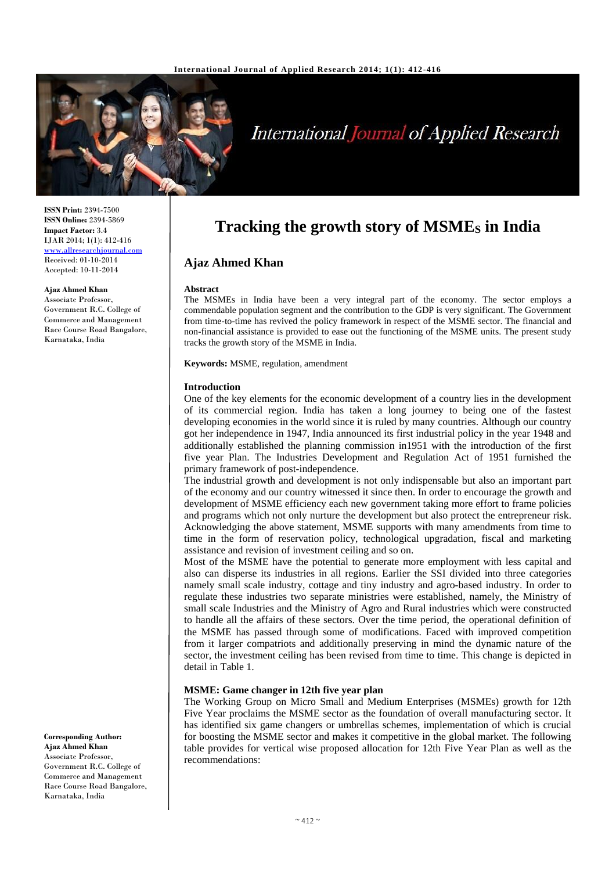

# International Journal of Applied Research

**ISSN Print:** 2394-7500 **ISSN Online:** 2394-5869 **Impact Factor:** 3.4 IJAR 2014; 1(1): 412-416 [www.allresearchjournal.com](http://www.allresearchjournal.com/) Received: 01-10-2014 Accepted: 10-11-2014

**Ajaz Ahmed Khan**

Associate Professor, Government R.C. College of Commerce and Management Race Course Road Bangalore, Karnataka, India

**Corresponding Author: Ajaz Ahmed Khan** Associate Professor, Government R.C. College of Commerce and Management Race Course Road Bangalore, Karnataka, India

# **Tracking the growth story of MSME<sup>S</sup> in India**

# **Ajaz Ahmed Khan**

#### **Abstract**

The MSMEs in India have been a very integral part of the economy. The sector employs a commendable population segment and the contribution to the GDP is very significant. The Government from time-to-time has revived the policy framework in respect of the MSME sector. The financial and non-financial assistance is provided to ease out the functioning of the MSME units. The present study tracks the growth story of the MSME in India.

**Keywords:** MSME, regulation, amendment

#### **Introduction**

One of the key elements for the economic development of a country lies in the development of its commercial region. India has taken a long journey to being one of the fastest developing economies in the world since it is ruled by many countries. Although our country got her independence in 1947, India announced its first industrial policy in the year 1948 and additionally established the planning commission in1951 with the introduction of the first five year Plan. The Industries Development and Regulation Act of 1951 furnished the primary framework of post-independence.

The industrial growth and development is not only indispensable but also an important part of the economy and our country witnessed it since then. In order to encourage the growth and development of MSME efficiency each new government taking more effort to frame policies and programs which not only nurture the development but also protect the entrepreneur risk. Acknowledging the above statement, MSME supports with many amendments from time to time in the form of reservation policy, technological upgradation, fiscal and marketing assistance and revision of investment ceiling and so on.

Most of the MSME have the potential to generate more employment with less capital and also can disperse its industries in all regions. Earlier the SSI divided into three categories namely small scale industry, cottage and tiny industry and agro-based industry. In order to regulate these industries two separate ministries were established, namely, the Ministry of small scale Industries and the Ministry of Agro and Rural industries which were constructed to handle all the affairs of these sectors. Over the time period, the operational definition of the MSME has passed through some of modifications. Faced with improved competition from it larger compatriots and additionally preserving in mind the dynamic nature of the sector, the investment ceiling has been revised from time to time. This change is depicted in detail in Table 1.

## **MSME: Game changer in 12th five year plan**

The Working Group on Micro Small and Medium Enterprises (MSMEs) growth for 12th Five Year proclaims the MSME sector as the foundation of overall manufacturing sector. It has identified six game changers or umbrellas schemes, implementation of which is crucial for boosting the MSME sector and makes it competitive in the global market. The following table provides for vertical wise proposed allocation for 12th Five Year Plan as well as the recommendations: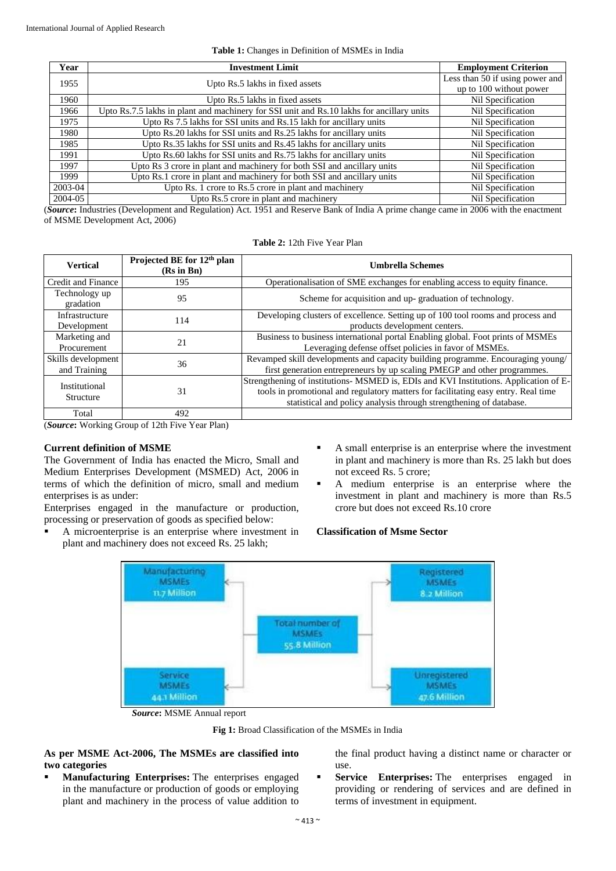## **Table 1:** Changes in Definition of MSMEs in India

| Year    | <b>Investment Limit</b>                                                                   | <b>Employment Criterion</b>     |
|---------|-------------------------------------------------------------------------------------------|---------------------------------|
| 1955    | Upto Rs.5 lakhs in fixed assets                                                           | Less than 50 if using power and |
|         |                                                                                           | up to 100 without power         |
| 1960    | Upto Rs.5 lakhs in fixed assets                                                           | Nil Specification               |
| 1966    | Upto Rs.7.5 lakhs in plant and machinery for SSI unit and Rs.10 lakhs for ancillary units | Nil Specification               |
| 1975    | Upto Rs 7.5 lakhs for SSI units and Rs.15 lakh for ancillary units                        | Nil Specification               |
| 1980    | Upto Rs.20 lakhs for SSI units and Rs.25 lakhs for ancillary units                        | Nil Specification               |
| 1985    | Upto Rs.35 lakhs for SSI units and Rs.45 lakhs for ancillary units                        | Nil Specification               |
| 1991    | Upto Rs.60 lakhs for SSI units and Rs.75 lakhs for ancillary units                        | Nil Specification               |
| 1997    | Upto Rs 3 crore in plant and machinery for both SSI and ancillary units                   | Nil Specification               |
| 1999    | Upto Rs.1 crore in plant and machinery for both SSI and ancillary units                   | Nil Specification               |
| 2003-04 | Upto Rs. 1 crore to Rs.5 crore in plant and machinery                                     | Nil Specification               |
| 2004-05 | Upto Rs.5 crore in plant and machinery                                                    | Nil Specification               |

(*Source***:** Industries (Development and Regulation) Act. 1951 and Reserve Bank of India A prime change came in 2006 with the enactment of MSME Development Act, 2006)

**Table 2:** 12th Five Year Plan

| <b>Vertical</b>                    | Projected BE for 12 <sup>th</sup> plan<br>$(Rs$ in Bn $)$ | <b>Umbrella Schemes</b>                                                                                                                                                                                                                           |
|------------------------------------|-----------------------------------------------------------|---------------------------------------------------------------------------------------------------------------------------------------------------------------------------------------------------------------------------------------------------|
| Credit and Finance                 | 195                                                       | Operationalisation of SME exchanges for enabling access to equity finance.                                                                                                                                                                        |
| Technology up<br>gradation         | 95                                                        | Scheme for acquisition and up-graduation of technology.                                                                                                                                                                                           |
| Infrastructure<br>Development      | 114                                                       | Developing clusters of excellence. Setting up of 100 tool rooms and process and<br>products development centers.                                                                                                                                  |
| Marketing and<br>Procurement       | 21                                                        | Business to business international portal Enabling global. Foot prints of MSMEs<br>Leveraging defense offset policies in favor of MSMEs.                                                                                                          |
| Skills development<br>and Training | 36                                                        | Revamped skill developments and capacity building programme. Encouraging young/<br>first generation entrepreneurs by up scaling PMEGP and other programmes.                                                                                       |
| Institutional<br>Structure         | 31                                                        | Strengthening of institutions- MSMED is, EDIs and KVI Institutions. Application of E-<br>tools in promotional and regulatory matters for facilitating easy entry. Real time<br>statistical and policy analysis through strengthening of database. |
| Total                              | 492                                                       |                                                                                                                                                                                                                                                   |

(*Source***:** Working Group of 12th Five Year Plan)

# **Current definition of MSME**

The Government of India has enacted the Micro, Small and Medium Enterprises Development (MSMED) Act, 2006 in terms of which the definition of micro, small and medium enterprises is as under:

Enterprises engaged in the manufacture or production, processing or preservation of goods as specified below:

- A microenterprise is an enterprise where investment in plant and machinery does not exceed Rs. 25 lakh;
- A small enterprise is an enterprise where the investment in plant and machinery is more than Rs. 25 lakh but does not exceed Rs. 5 crore;
- A medium enterprise is an enterprise where the investment in plant and machinery is more than Rs.5 crore but does not exceed Rs.10 crore

# **Classification of Msme Sector**



*Source***:** MSME Annual report

**Fig 1:** Broad Classification of the MSMEs in India

**As per MSME Act-2006, The MSMEs are classified into two categories**

 **Manufacturing Enterprises:** The enterprises engaged in the manufacture or production of goods or employing plant and machinery in the process of value addition to the final product having a distinct name or character or use.

**Service Enterprises:** The enterprises engaged in providing or rendering of services and are defined in terms of investment in equipment.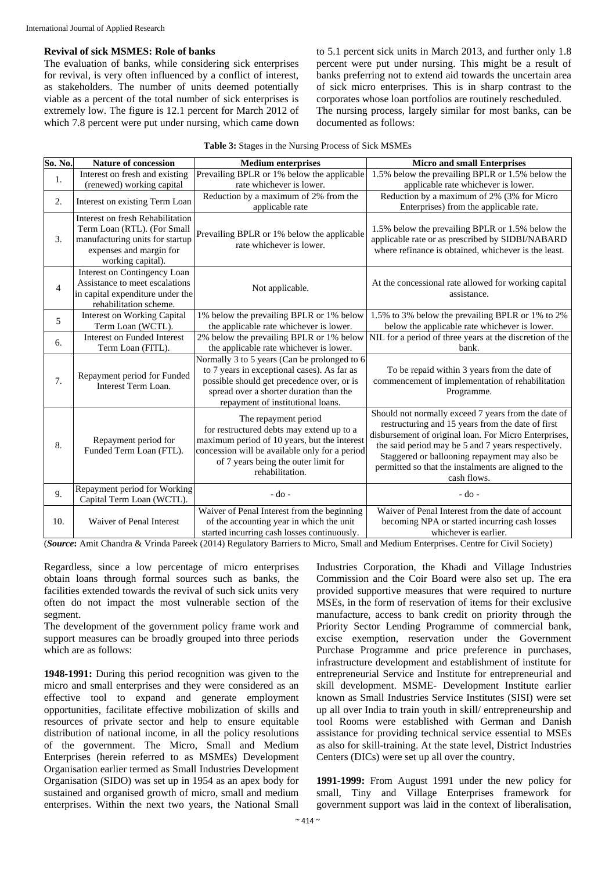# **Revival of sick MSMES: Role of banks**

The evaluation of banks, while considering sick enterprises for revival, is very often influenced by a conflict of interest, as stakeholders. The number of units deemed potentially viable as a percent of the total number of sick enterprises is extremely low. The figure is 12.1 percent for March 2012 of which 7.8 percent were put under nursing, which came down

to 5.1 percent sick units in March 2013, and further only 1.8 percent were put under nursing. This might be a result of banks preferring not to extend aid towards the uncertain area of sick micro enterprises. This is in sharp contrast to the corporates whose loan portfolios are routinely rescheduled. The nursing process, largely similar for most banks, can be documented as follows:

| So. No.        | <b>Nature of concession</b>                                                                                                                        | <b>Medium enterprises</b>                                                                                                                                                                                                      | <b>Micro and small Enterprises</b>                                                                                                                                                                                                                                                                                                              |
|----------------|----------------------------------------------------------------------------------------------------------------------------------------------------|--------------------------------------------------------------------------------------------------------------------------------------------------------------------------------------------------------------------------------|-------------------------------------------------------------------------------------------------------------------------------------------------------------------------------------------------------------------------------------------------------------------------------------------------------------------------------------------------|
| 1.             | Interest on fresh and existing                                                                                                                     | Prevailing BPLR or 1% below the applicable                                                                                                                                                                                     | 1.5% below the prevailing BPLR or 1.5% below the                                                                                                                                                                                                                                                                                                |
|                | (renewed) working capital                                                                                                                          | rate whichever is lower.                                                                                                                                                                                                       | applicable rate whichever is lower.                                                                                                                                                                                                                                                                                                             |
| 2.             | Interest on existing Term Loan                                                                                                                     | Reduction by a maximum of 2% from the<br>applicable rate                                                                                                                                                                       | Reduction by a maximum of 2% (3% for Micro<br>Enterprises) from the applicable rate.                                                                                                                                                                                                                                                            |
| 3.             | Interest on fresh Rehabilitation<br>Term Loan (RTL). (For Small<br>manufacturing units for startup<br>expenses and margin for<br>working capital). | Prevailing BPLR or 1% below the applicable<br>rate whichever is lower.                                                                                                                                                         | 1.5% below the prevailing BPLR or 1.5% below the<br>applicable rate or as prescribed by SIDBI/NABARD<br>where refinance is obtained, whichever is the least.                                                                                                                                                                                    |
| $\overline{4}$ | Interest on Contingency Loan<br>Assistance to meet escalations<br>in capital expenditure under the<br>rehabilitation scheme.                       | Not applicable.                                                                                                                                                                                                                | At the concessional rate allowed for working capital<br>assistance.                                                                                                                                                                                                                                                                             |
| 5              | <b>Interest on Working Capital</b><br>Term Loan (WCTL).                                                                                            | 1% below the prevailing BPLR or 1% below<br>the applicable rate whichever is lower.                                                                                                                                            | 1.5% to 3% below the prevailing BPLR or 1% to 2%<br>below the applicable rate whichever is lower.                                                                                                                                                                                                                                               |
| 6.             | Interest on Funded Interest<br>Term Loan (FITL).                                                                                                   | 2% below the prevailing BPLR or 1% below<br>the applicable rate whichever is lower.                                                                                                                                            | NIL for a period of three years at the discretion of the<br>bank.                                                                                                                                                                                                                                                                               |
| 7.             | Repayment period for Funded<br>Interest Term Loan.                                                                                                 | Normally 3 to 5 years (Can be prolonged to 6<br>to 7 years in exceptional cases). As far as<br>possible should get precedence over, or is<br>spread over a shorter duration than the<br>repayment of institutional loans.      | To be repaid within 3 years from the date of<br>commencement of implementation of rehabilitation<br>Programme.                                                                                                                                                                                                                                  |
| 8.             | Repayment period for<br>Funded Term Loan (FTL).                                                                                                    | The repayment period<br>for restructured debts may extend up to a<br>maximum period of 10 years, but the interest<br>concession will be available only for a period<br>of 7 years being the outer limit for<br>rehabilitation. | Should not normally exceed 7 years from the date of<br>restructuring and 15 years from the date of first<br>disbursement of original loan. For Micro Enterprises,<br>the said period may be 5 and 7 years respectively.<br>Staggered or ballooning repayment may also be<br>permitted so that the instalments are aligned to the<br>cash flows. |
| 9.             | Repayment period for Working<br>Capital Term Loan (WCTL).                                                                                          | $-do-$                                                                                                                                                                                                                         | - do -                                                                                                                                                                                                                                                                                                                                          |
| 10.            | Waiver of Penal Interest                                                                                                                           | Waiver of Penal Interest from the beginning<br>of the accounting year in which the unit<br>started incurring cash losses continuously.                                                                                         | Waiver of Penal Interest from the date of account<br>becoming NPA or started incurring cash losses<br>whichever is earlier.                                                                                                                                                                                                                     |

(*Source***:** Amit Chandra & Vrinda Pareek (2014) Regulatory Barriers to Micro, Small and Medium Enterprises. Centre for Civil Society)

Regardless, since a low percentage of micro enterprises obtain loans through formal sources such as banks, the facilities extended towards the revival of such sick units very often do not impact the most vulnerable section of the segment.

The development of the government policy frame work and support measures can be broadly grouped into three periods which are as follows:

**1948-1991:** During this period recognition was given to the micro and small enterprises and they were considered as an effective tool to expand and generate employment opportunities, facilitate effective mobilization of skills and resources of private sector and help to ensure equitable distribution of national income, in all the policy resolutions of the government. The Micro, Small and Medium Enterprises (herein referred to as MSMEs) Development Organisation earlier termed as Small Industries Development Organisation (SIDO) was set up in 1954 as an apex body for sustained and organised growth of micro, small and medium enterprises. Within the next two years, the National Small

Industries Corporation, the Khadi and Village Industries Commission and the Coir Board were also set up. The era provided supportive measures that were required to nurture MSEs, in the form of reservation of items for their exclusive manufacture, access to bank credit on priority through the Priority Sector Lending Programme of commercial bank, excise exemption, reservation under the Government Purchase Programme and price preference in purchases, infrastructure development and establishment of institute for entrepreneurial Service and Institute for entrepreneurial and skill development. MSME- Development Institute earlier known as Small Industries Service Institutes (SISI) were set up all over India to train youth in skill/ entrepreneurship and tool Rooms were established with German and Danish assistance for providing technical service essential to MSEs as also for skill-training. At the state level, District Industries Centers (DICs) were set up all over the country.

**1991-1999:** From August 1991 under the new policy for small, Tiny and Village Enterprises framework for government support was laid in the context of liberalisation,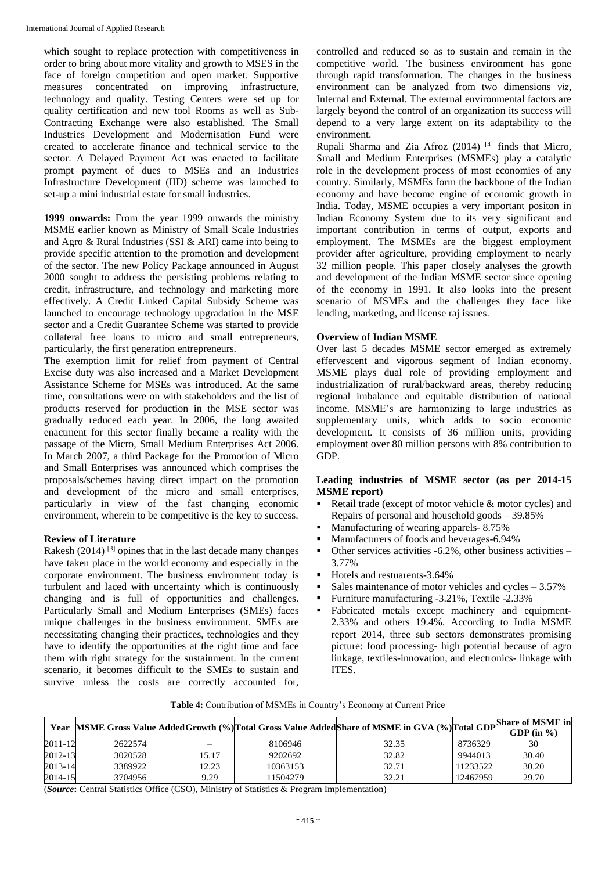which sought to replace protection with competitiveness in order to bring about more vitality and growth to MSES in the face of foreign competition and open market. Supportive measures concentrated on improving infrastructure, technology and quality. Testing Centers were set up for quality certification and new tool Rooms as well as Sub-Contracting Exchange were also established. The Small Industries Development and Modernisation Fund were created to accelerate finance and technical service to the sector. A Delayed Payment Act was enacted to facilitate prompt payment of dues to MSEs and an Industries Infrastructure Development (IID) scheme was launched to set-up a mini industrial estate for small industries.

**1999 onwards:** From the year 1999 onwards the ministry MSME earlier known as Ministry of Small Scale Industries and Agro & Rural Industries (SSI & ARI) came into being to provide specific attention to the promotion and development of the sector. The new Policy Package announced in August 2000 sought to address the persisting problems relating to credit, infrastructure, and technology and marketing more effectively. A Credit Linked Capital Subsidy Scheme was launched to encourage technology upgradation in the MSE sector and a Credit Guarantee Scheme was started to provide collateral free loans to micro and small entrepreneurs, particularly, the first generation entrepreneurs.

The exemption limit for relief from payment of Central Excise duty was also increased and a Market Development Assistance Scheme for MSEs was introduced. At the same time, consultations were on with stakeholders and the list of products reserved for production in the MSE sector was gradually reduced each year. In 2006, the long awaited enactment for this sector finally became a reality with the passage of the Micro, Small Medium Enterprises Act 2006. In March 2007, a third Package for the Promotion of Micro and Small Enterprises was announced which comprises the proposals/schemes having direct impact on the promotion and development of the micro and small enterprises, particularly in view of the fast changing economic environment, wherein to be competitive is the key to success.

# **Review of Literature**

Rakesh (2014)  $^{[3]}$  opines that in the last decade many changes have taken place in the world economy and especially in the corporate environment. The business environment today is turbulent and laced with uncertainty which is continuously changing and is full of opportunities and challenges. Particularly Small and Medium Enterprises (SMEs) faces unique challenges in the business environment. SMEs are necessitating changing their practices, technologies and they have to identify the opportunities at the right time and face them with right strategy for the sustainment. In the current scenario, it becomes difficult to the SMEs to sustain and survive unless the costs are correctly accounted for, controlled and reduced so as to sustain and remain in the competitive world. The business environment has gone through rapid transformation. The changes in the business environment can be analyzed from two dimensions *viz*, Internal and External. The external environmental factors are largely beyond the control of an organization its success will depend to a very large extent on its adaptability to the environment.

Rupali Sharma and Zia Afroz  $(2014)$ <sup>[4]</sup> finds that Micro, Small and Medium Enterprises (MSMEs) play a catalytic role in the development process of most economies of any country. Similarly, MSMEs form the backbone of the Indian economy and have become engine of economic growth in India. Today, MSME occupies a very important positon in Indian Economy System due to its very significant and important contribution in terms of output, exports and employment. The MSMEs are the biggest employment provider after agriculture, providing employment to nearly 32 million people. This paper closely analyses the growth and development of the Indian MSME sector since opening of the economy in 1991. It also looks into the present scenario of MSMEs and the challenges they face like lending, marketing, and license raj issues.

# **Overview of Indian MSME**

Over last 5 decades MSME sector emerged as extremely effervescent and vigorous segment of Indian economy. MSME plays dual role of providing employment and industrialization of rural/backward areas, thereby reducing regional imbalance and equitable distribution of national income. MSME's are harmonizing to large industries as supplementary units, which adds to socio economic development. It consists of 36 million units, providing employment over 80 million persons with 8% contribution to GDP.

# **Leading industries of MSME sector (as per 2014-15 MSME report)**

- Retail trade (except of motor vehicle & motor cycles) and Repairs of personal and household goods – 39.85%
- Manufacturing of wearing apparels- 8.75%
- Manufacturers of foods and beverages-6.94%
- $\blacksquare$  Other services activities -6.2%, other business activities 3.77%
- Hotels and restuarents-3.64%
- Sales maintenance of motor vehicles and cycles  $-3.57\%$
- Furniture manufacturing -3.21%, Textile -2.33%
- Fabricated metals except machinery and equipment-2.33% and others 19.4%. According to India MSME report 2014, three sub sectors demonstrates promising picture: food processing- high potential because of agro linkage, textiles-innovation, and electronics- linkage with ITES.

|         |         |       |          | Year MSME Gross Value Added Growth (%) Total Gross Value Added Share of MSME in GVA (%) Total GDP Share of MSME in |          | GDP $(in \%$ ) |
|---------|---------|-------|----------|--------------------------------------------------------------------------------------------------------------------|----------|----------------|
| 2011-12 | 2622574 |       | 8106946  | 32.35                                                                                                              | 8736329  | 30             |
| 2012-13 | 3020528 | 15.17 | 9202692  | 32.82                                                                                                              | 9944013  | 30.40          |
| 2013-14 | 3389922 | 12.23 | 10363153 | 32.71                                                                                                              | 11233522 | 30.20          |
| 2014-15 | 3704956 | 9.29  | 11504279 | 32.21                                                                                                              | 12467959 | 29.70          |

**Table 4:** Contribution of MSMEs in Country's Economy at Current Price

(*Source***:** Central Statistics Office (CSO), Ministry of Statistics & Program Implementation)